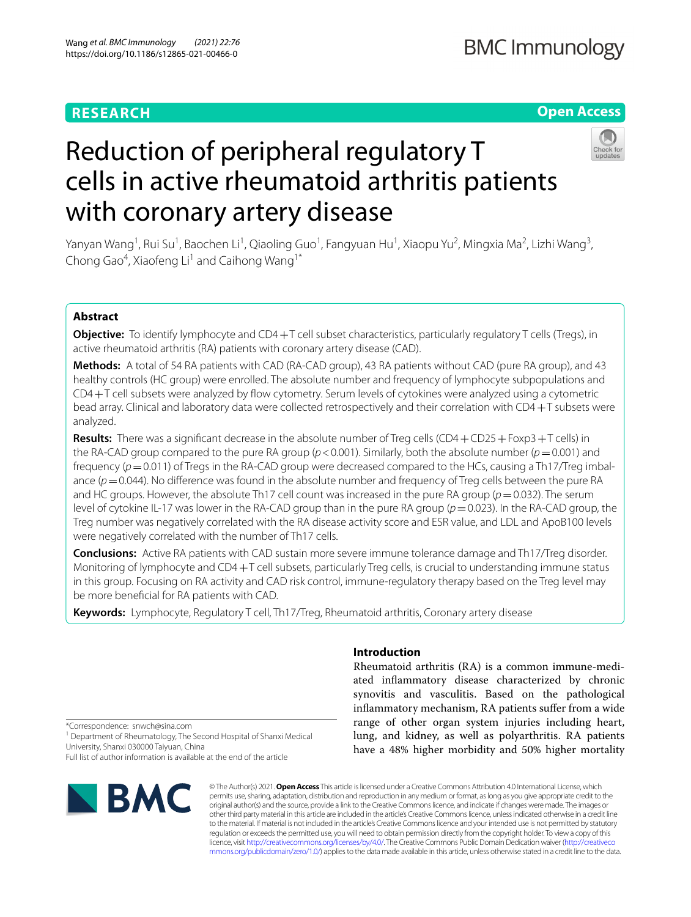# **RESEARCH**

# **Open Access**



# Reduction of peripheral regulatory T cells in active rheumatoid arthritis patients with coronary artery disease

Yanyan Wang<sup>1</sup>, Rui Su<sup>1</sup>, Baochen Li<sup>1</sup>, Qiaoling Guo<sup>1</sup>, Fangyuan Hu<sup>1</sup>, Xiaopu Yu<sup>2</sup>, Mingxia Ma<sup>2</sup>, Lizhi Wang<sup>3</sup>, Chong Gao<sup>4</sup>, Xiaofeng Li<sup>1</sup> and Caihong Wang<sup>1\*</sup>

# **Abstract**

**Objective:** To identify lymphocyte and CD4+T cell subset characteristics, particularly regulatory T cells (Tregs), in active rheumatoid arthritis (RA) patients with coronary artery disease (CAD).

**Methods:** A total of 54 RA patients with CAD (RA-CAD group), 43 RA patients without CAD (pure RA group), and 43 healthy controls (HC group) were enrolled. The absolute number and frequency of lymphocyte subpopulations and CD4+T cell subsets were analyzed by fow cytometry. Serum levels of cytokines were analyzed using a cytometric bead array. Clinical and laboratory data were collected retrospectively and their correlation with CD4+T subsets were analyzed.

**Results:** There was a signifcant decrease in the absolute number of Treg cells (CD4+CD25+Foxp3+T cells) in the RA-CAD group compared to the pure RA group ( $p < 0.001$ ). Similarly, both the absolute number ( $p = 0.001$ ) and frequency ( $p=0.011$ ) of Tregs in the RA-CAD group were decreased compared to the HCs, causing a Th17/Treg imbalance ( $p=0.044$ ). No difference was found in the absolute number and frequency of Treg cells between the pure RA and HC groups. However, the absolute Th17 cell count was increased in the pure RA group (*p*=0.032). The serum level of cytokine IL-17 was lower in the RA-CAD group than in the pure RA group (*p*=0.023). In the RA-CAD group, the Treg number was negatively correlated with the RA disease activity score and ESR value, and LDL and ApoB100 levels were negatively correlated with the number of Th17 cells.

**Conclusions:** Active RA patients with CAD sustain more severe immune tolerance damage and Th17/Treg disorder. Monitoring of lymphocyte and CD4 $+T$  cell subsets, particularly Treg cells, is crucial to understanding immune status in this group. Focusing on RA activity and CAD risk control, immune-regulatory therapy based on the Treg level may be more benefcial for RA patients with CAD.

**Keywords:** Lymphocyte, Regulatory T cell, Th17/Treg, Rheumatoid arthritis, Coronary artery disease

## **Introduction**

Rheumatoid arthritis (RA) is a common immune-mediated infammatory disease characterized by chronic synovitis and vasculitis. Based on the pathological inflammatory mechanism, RA patients suffer from a wide range of other organ system injuries including heart, lung, and kidney, as well as polyarthritis. RA patients have a 48% higher morbidity and 50% higher mortality

\*Correspondence: snwch@sina.com

<sup>1</sup> Department of Rheumatology, The Second Hospital of Shanxi Medical University, Shanxi 030000 Taiyuan, China

Full list of author information is available at the end of the article



© The Author(s) 2021. **Open Access** This article is licensed under a Creative Commons Attribution 4.0 International License, which permits use, sharing, adaptation, distribution and reproduction in any medium or format, as long as you give appropriate credit to the original author(s) and the source, provide a link to the Creative Commons licence, and indicate if changes were made. The images or other third party material in this article are included in the article's Creative Commons licence, unless indicated otherwise in a credit line to the material. If material is not included in the article's Creative Commons licence and your intended use is not permitted by statutory regulation or exceeds the permitted use, you will need to obtain permission directly from the copyright holder. To view a copy of this licence, visit [http://creativecommons.org/licenses/by/4.0/.](http://creativecommons.org/licenses/by/4.0/) The Creative Commons Public Domain Dedication waiver ([http://creativeco](http://creativecommons.org/publicdomain/zero/1.0/) [mmons.org/publicdomain/zero/1.0/](http://creativecommons.org/publicdomain/zero/1.0/)) applies to the data made available in this article, unless otherwise stated in a credit line to the data.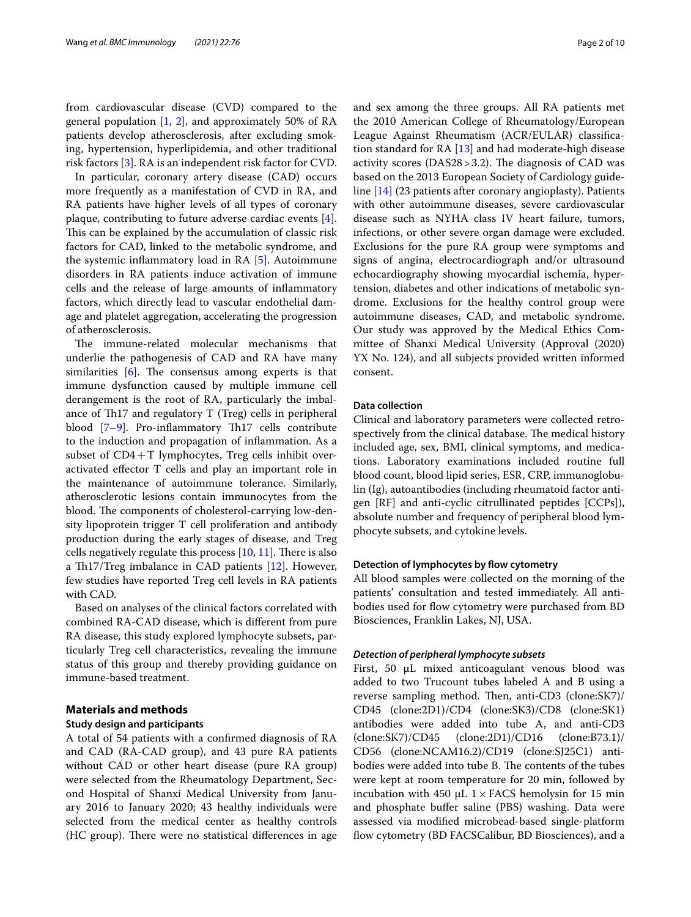from cardiovascular disease (CVD) compared to the general population  $[1, 2]$  $[1, 2]$  $[1, 2]$ , and approximately 50% of RA patients develop atherosclerosis, after excluding smoking, hypertension, hyperlipidemia, and other traditional risk factors [\[3](#page-9-2)]. RA is an independent risk factor for CVD.

In particular, coronary artery disease (CAD) occurs more frequently as a manifestation of CVD in RA, and RA patients have higher levels of all types of coronary plaque, contributing to future adverse cardiac events [\[4](#page-9-3)]. This can be explained by the accumulation of classic risk factors for CAD, linked to the metabolic syndrome, and the systemic infammatory load in RA [\[5](#page-9-4)]. Autoimmune disorders in RA patients induce activation of immune cells and the release of large amounts of infammatory factors, which directly lead to vascular endothelial damage and platelet aggregation, accelerating the progression of atherosclerosis.

The immune-related molecular mechanisms that underlie the pathogenesis of CAD and RA have many similarities  $[6]$  $[6]$ . The consensus among experts is that immune dysfunction caused by multiple immune cell derangement is the root of RA, particularly the imbalance of Th17 and regulatory  $T$  (Treg) cells in peripheral blood  $[7-9]$  $[7-9]$  $[7-9]$ . Pro-inflammatory Th17 cells contribute to the induction and propagation of infammation. As a subset of  $CD4+T$  lymphocytes, Treg cells inhibit overactivated efector T cells and play an important role in the maintenance of autoimmune tolerance. Similarly, atherosclerotic lesions contain immunocytes from the blood. The components of cholesterol-carrying low-density lipoprotein trigger T cell proliferation and antibody production during the early stages of disease, and Treg cells negatively regulate this process  $[10, 11]$  $[10, 11]$  $[10, 11]$  $[10, 11]$ . There is also a Th17/Treg imbalance in CAD patients  $[12]$ . However, few studies have reported Treg cell levels in RA patients with CAD.

Based on analyses of the clinical factors correlated with combined RA-CAD disease, which is diferent from pure RA disease, this study explored lymphocyte subsets, particularly Treg cell characteristics, revealing the immune status of this group and thereby providing guidance on immune-based treatment.

# **Materials and methods**

## **Study design and participants**

A total of 54 patients with a confrmed diagnosis of RA and CAD (RA-CAD group), and 43 pure RA patients without CAD or other heart disease (pure RA group) were selected from the Rheumatology Department, Second Hospital of Shanxi Medical University from January 2016 to January 2020; 43 healthy individuals were selected from the medical center as healthy controls (HC group). There were no statistical differences in age and sex among the three groups. All RA patients met the 2010 American College of Rheumatology/European League Against Rheumatism (ACR/EULAR) classifcation standard for RA [\[13](#page-9-11)] and had moderate-high disease activity scores ( $DAS28 > 3.2$ ). The diagnosis of CAD was based on the 2013 European Society of Cardiology guideline [\[14](#page-9-12)] (23 patients after coronary angioplasty). Patients with other autoimmune diseases, severe cardiovascular disease such as NYHA class IV heart failure, tumors, infections, or other severe organ damage were excluded. Exclusions for the pure RA group were symptoms and signs of angina, electrocardiograph and/or ultrasound echocardiography showing myocardial ischemia, hypertension, diabetes and other indications of metabolic syndrome. Exclusions for the healthy control group were autoimmune diseases, CAD, and metabolic syndrome. Our study was approved by the Medical Ethics Committee of Shanxi Medical University (Approval (2020) YX No. 124), and all subjects provided written informed consent.

#### **Data collection**

Clinical and laboratory parameters were collected retrospectively from the clinical database. The medical history included age, sex, BMI, clinical symptoms, and medications. Laboratory examinations included routine full blood count, blood lipid series, ESR, CRP, immunoglobulin (Ig), autoantibodies (including rheumatoid factor antigen [RF] and anti-cyclic citrullinated peptides [CCPs]), absolute number and frequency of peripheral blood lymphocyte subsets, and cytokine levels.

### **Detection of lymphocytes by fow cytometry**

All blood samples were collected on the morning of the patients' consultation and tested immediately. All antibodies used for flow cytometry were purchased from BD Biosciences, Franklin Lakes, NJ, USA.

#### *Detection of peripheral lymphocyte subsets*

First, 50 µL mixed anticoagulant venous blood was added to two Trucount tubes labeled A and B using a reverse sampling method. Then, anti-CD3 (clone:SK7)/ CD45 (clone:2D1)/CD4 (clone:SK3)/CD8 (clone:SK1) antibodies were added into tube A, and anti-CD3 (clone:SK7)/CD45 (clone:2D1)/CD16 (clone:B73.1)/ CD56 (clone:NCAM16.2)/CD19 (clone:SJ25C1) antibodies were added into tube B. The contents of the tubes were kept at room temperature for 20 min, followed by incubation with 450 μL  $1 \times$  FACS hemolysin for 15 min and phosphate buffer saline (PBS) washing. Data were assessed via modifed microbead-based single-platform flow cytometry (BD FACSCalibur, BD Biosciences), and a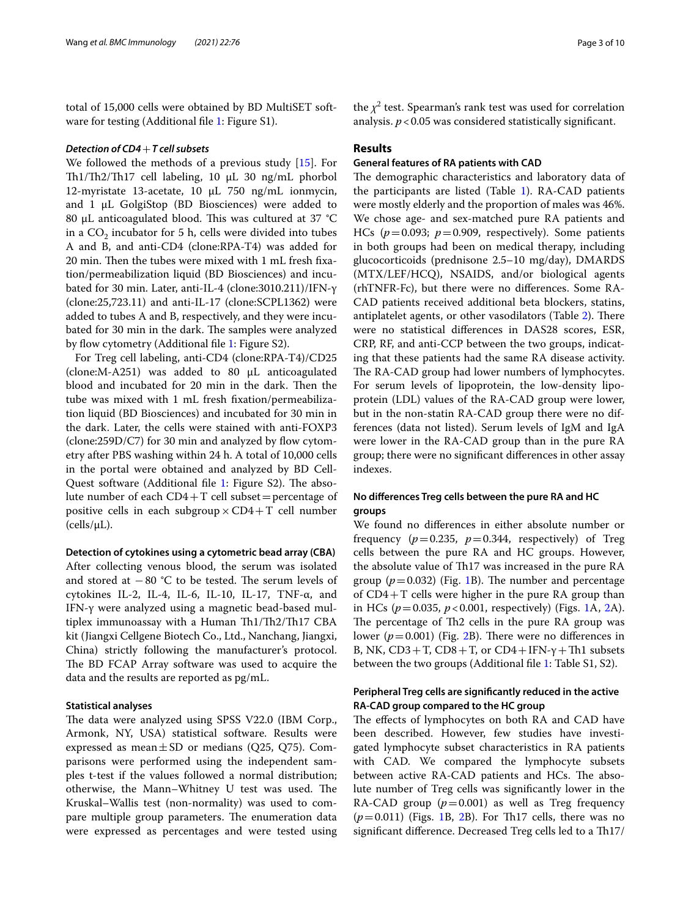total of 15,000 cells were obtained by BD MultiSET soft-ware for testing (Additional file [1](#page-8-0): Figure S1).

### *Detection of CD4*+*T cell subsets*

We followed the methods of a previous study [[15\]](#page-9-13). For Th1/Th2/Th17 cell labeling, 10 µL 30 ng/mL phorbol 12-myristate 13-acetate, 10 μL 750 ng/mL ionmycin, and 1 μL GolgiStop (BD Biosciences) were added to 80 μL anticoagulated blood. This was cultured at 37  $°C$ in a  $CO<sub>2</sub>$  incubator for 5 h, cells were divided into tubes A and B, and anti-CD4 (clone:RPA-T4) was added for 20 min. Then the tubes were mixed with 1 mL fresh fixation/permeabilization liquid (BD Biosciences) and incubated for 30 min. Later, anti-IL-4 (clone:3010.211)/IFN-γ (clone:25,723.11) and anti-IL-17 (clone:SCPL1362) were added to tubes A and B, respectively, and they were incubated for 30 min in the dark. The samples were analyzed by flow cytometry (Additional file [1:](#page-8-0) Figure S2).

For Treg cell labeling, anti-CD4 (clone:RPA-T4)/CD25 (clone:M-A251) was added to 80 μL anticoagulated blood and incubated for 20 min in the dark. Then the tube was mixed with 1 mL fresh fxation/permeabilization liquid (BD Biosciences) and incubated for 30 min in the dark. Later, the cells were stained with anti-FOXP3  $(clone:259D/C7)$  for 30 min and analyzed by flow cytometry after PBS washing within 24 h. A total of 10,000 cells in the portal were obtained and analyzed by BD Cell-Quest software (Additional file [1:](#page-8-0) Figure S2). The absolute number of each  $CD4+T$  cell subset = percentage of positive cells in each subgroup  $\times$  CD4+T cell number  $(cells/µL).$ 

**Detection of cytokines using a cytometric bead array (CBA)** After collecting venous blood, the serum was isolated and stored at  $-80$  °C to be tested. The serum levels of cytokines IL-2, IL-4, IL-6, IL-10, IL-17, TNF-α, and IFN-γ were analyzed using a magnetic bead-based multiplex immunoassay with a Human  $Th1/Th2/Th17$  CBA kit (Jiangxi Cellgene Biotech Co., Ltd., Nanchang, Jiangxi, China) strictly following the manufacturer's protocol. The BD FCAP Array software was used to acquire the data and the results are reported as pg/mL.

## **Statistical analyses**

The data were analyzed using SPSS V22.0 (IBM Corp., Armonk, NY, USA) statistical software. Results were expressed as mean $\pm$ SD or medians (Q25, Q75). Comparisons were performed using the independent samples t-test if the values followed a normal distribution; otherwise, the Mann-Whitney U test was used. The Kruskal–Wallis test (non-normality) was used to compare multiple group parameters. The enumeration data were expressed as percentages and were tested using

the  $\chi^2$  test. Spearman's rank test was used for correlation analysis.  $p < 0.05$  was considered statistically significant.

### **Results**

## **General features of RA patients with CAD**

The demographic characteristics and laboratory data of the participants are listed (Table [1\)](#page-3-0). RA-CAD patients were mostly elderly and the proportion of males was 46%. We chose age- and sex-matched pure RA patients and HCs ( $p=0.093$ ;  $p=0.909$ , respectively). Some patients in both groups had been on medical therapy, including glucocorticoids (prednisone 2.5–10 mg/day), DMARDS (MTX/LEF/HCQ), NSAIDS, and/or biological agents (rhTNFR-Fc), but there were no diferences. Some RA-CAD patients received additional beta blockers, statins, antiplatelet agents, or other vasodilators (Table [2\)](#page-4-0). There were no statistical diferences in DAS28 scores, ESR, CRP, RF, and anti-CCP between the two groups, indicating that these patients had the same RA disease activity. The RA-CAD group had lower numbers of lymphocytes. For serum levels of lipoprotein, the low-density lipoprotein (LDL) values of the RA-CAD group were lower, but in the non-statin RA-CAD group there were no differences (data not listed). Serum levels of IgM and IgA were lower in the RA-CAD group than in the pure RA group; there were no signifcant diferences in other assay indexes.

## **No diferences Treg cells between the pure RA and HC groups**

We found no diferences in either absolute number or frequency  $(p=0.235, p=0.344,$  respectively) of Treg cells between the pure RA and HC groups. However, the absolute value of Th17 was increased in the pure RA group  $(p=0.032)$  (Fig. [1B](#page-4-1)). The number and percentage of CD4+T cells were higher in the pure RA group than in HCs ( $p = 0.035$ ,  $p < 0.001$  $p < 0.001$ , respectively) (Figs. 1A, [2](#page-5-0)A). The percentage of Th2 cells in the pure RA group was lower ( $p = 0.001$ ) (Fig. [2](#page-5-0)B). There were no differences in B, NK,  $CD3+T$ ,  $CD8+T$ , or  $CD4+IFN-\gamma+Th1$  subsets between the two groups (Additional fle [1:](#page-8-0) Table S1, S2).

## **Peripheral Treg cells are signifcantly reduced in the active RA‑CAD group compared to the HC group**

The effects of lymphocytes on both RA and CAD have been described. However, few studies have investigated lymphocyte subset characteristics in RA patients with CAD. We compared the lymphocyte subsets between active RA-CAD patients and HCs. The absolute number of Treg cells was signifcantly lower in the RA-CAD group  $(p=0.001)$  as well as Treg frequency  $(p=0.011)$  $(p=0.011)$  $(p=0.011)$  (Figs. 1B, [2B](#page-5-0)). For Th17 cells, there was no significant difference. Decreased Treg cells led to a Th17/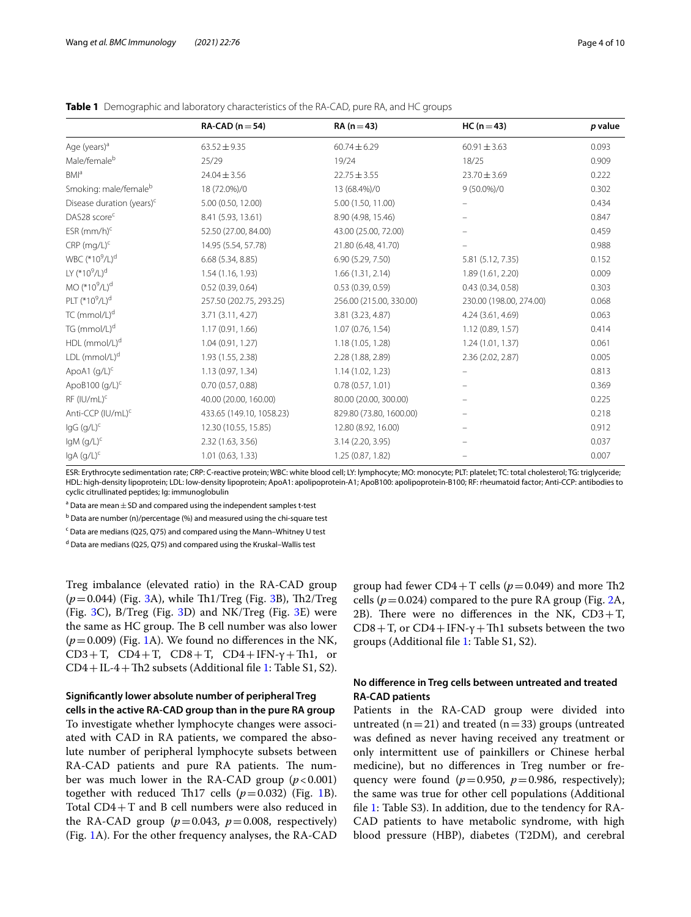|                                        | $RA-CAD (n=54)$          | $RA(n=43)$              | $HC (n = 43)$            | p value |
|----------------------------------------|--------------------------|-------------------------|--------------------------|---------|
| Age (years) <sup>a</sup>               | $63.52 \pm 9.35$         | $60.74 \pm 6.29$        | $60.91 \pm 3.63$         | 0.093   |
| Male/female <sup>b</sup>               | 25/29                    | 19/24                   | 18/25                    | 0.909   |
| BM <sup>a</sup>                        | $24.04 \pm 3.56$         | $22.75 \pm 3.55$        | $23.70 \pm 3.69$         | 0.222   |
| Smoking: male/femaleb                  | 18 (72.0%)/0             | 13 (68.4%)/0            | $9(50.0\%)/0$            | 0.302   |
| Disease duration (years) <sup>c</sup>  | 5.00 (0.50, 12.00)       | 5.00 (1.50, 11.00)      |                          | 0.434   |
| DAS28 score <sup>c</sup>               | 8.41 (5.93, 13.61)       | 8.90 (4.98, 15.46)      |                          | 0.847   |
| $ESR$ (mm/h) <sup>c</sup>              | 52.50 (27.00, 84.00)     | 43.00 (25.00, 72.00)    |                          | 0.459   |
| $CRP$ (mg/L) <sup>c</sup>              | 14.95 (5.54, 57.78)      | 21.80 (6.48, 41.70)     |                          | 0.988   |
| WBC (*10 <sup>9</sup> /L) <sup>d</sup> | 6.68(5.34, 8.85)         | 6.90 (5.29, 7.50)       | 5.81 (5.12, 7.35)        | 0.152   |
| LY $(^{*}10^{9}/L)^{d}$                | 1.54(1.16, 1.93)         | 1.66(1.31, 2.14)        | 1.89 (1.61, 2.20)        | 0.009   |
| MO (*10 <sup>9</sup> /L) <sup>d</sup>  | 0.52(0.39, 0.64)         | 0.53(0.39, 0.59)        | 0.43(0.34, 0.58)         | 0.303   |
| PLT (*10 <sup>9</sup> /L) <sup>d</sup> | 257.50 (202.75, 293.25)  | 256.00 (215.00, 330.00) | 230.00 (198.00, 274.00)  | 0.068   |
| TC (mmol/L) <sup>d</sup>               | 3.71 (3.11, 4.27)        | 3.81 (3.23, 4.87)       | 4.24 (3.61, 4.69)        | 0.063   |
| TG (mmol/L) <sup>d</sup>               | 1.17 (0.91, 1.66)        | 1.07(0.76, 1.54)        | 1.12(0.89, 1.57)         | 0.414   |
| HDL (mmol/L) <sup>d</sup>              | 1.04 (0.91, 1.27)        | 1.18 (1.05, 1.28)       | 1.24(1.01, 1.37)         | 0.061   |
| $LDL$ (mmol/L) <sup>d</sup>            | 1.93 (1.55, 2.38)        | 2.28 (1.88, 2.89)       | 2.36 (2.02, 2.87)        | 0.005   |
| ApoA1 (g/L) <sup>c</sup>               | 1.13(0.97, 1.34)         | 1.14(1.02, 1.23)        |                          | 0.813   |
| ApoB100 $(q/L)^c$                      | 0.70(0.57, 0.88)         | 0.78(0.57, 1.01)        | $\overline{\phantom{m}}$ | 0.369   |
| RF (IU/mL) <sup>c</sup>                | 40.00 (20.00, 160.00)    | 80.00 (20.00, 300.00)   |                          | 0.225   |
| Anti-CCP (IU/mL) <sup>c</sup>          | 433.65 (149.10, 1058.23) | 829.80 (73.80, 1600.00) | -                        | 0.218   |
| $lgG (g/L)^c$                          | 12.30 (10.55, 15.85)     | 12.80 (8.92, 16.00)     |                          | 0.912   |
| $lgM$ (g/L) <sup>c</sup>               | 2.32 (1.63, 3.56)        | 3.14 (2.20, 3.95)       |                          | 0.037   |
| IgA (g/L) <sup>c</sup>                 | 1.01(0.63, 1.33)         | 1.25 (0.87, 1.82)       |                          | 0.007   |

<span id="page-3-0"></span>**Table 1** Demographic and laboratory characteristics of the RA-CAD, pure RA, and HC groups

ESR: Erythrocyte sedimentation rate; CRP: C-reactive protein; WBC: white blood cell; LY: lymphocyte; MO: monocyte; PLT: platelet; TC: total cholesterol; TG: triglyceride; HDL: high-density lipoprotein; LDL: low-density lipoprotein; ApoA1: apolipoprotein-A1; ApoB100: apolipoprotein-B100; RF: rheumatoid factor; Anti-CCP: antibodies to cyclic citrullinated peptides; Ig: immunoglobulin

 $^{\rm a}$  Data are mean  $\pm$  SD and compared using the independent samples t-test

<sup>b</sup> Data are number (n)/percentage (%) and measured using the chi-square test

<sup>c</sup> Data are medians (Q25, Q75) and compared using the Mann–Whitney U test

<sup>d</sup> Data are medians (Q25, Q75) and compared using the Kruskal–Wallis test

Treg imbalance (elevated ratio) in the RA-CAD group ( $p=0.044$ ) (Fig. [3A](#page-6-0)), while Th1/Treg (Fig. [3B](#page-6-0)), Th2/Treg (Fig. [3](#page-6-0)C), B/Treg (Fig. [3](#page-6-0)D) and NK/Treg (Fig. [3E](#page-6-0)) were the same as HC group. The B cell number was also lower  $(p=0.009)$  (Fig. [1A](#page-4-1)). We found no differences in the NK, CD3+T, CD4+T, CD8+T, CD4+IFN- $\gamma$ +Th1, or  $CD4+IL-4+Th2$  subsets (Additional file [1:](#page-8-0) Table S1, S2).

#### **Signifcantly lower absolute number of peripheral Treg**

**cells in the active RA‑CAD group than in the pure RA group** To investigate whether lymphocyte changes were associated with CAD in RA patients, we compared the absolute number of peripheral lymphocyte subsets between RA-CAD patients and pure RA patients. The number was much lower in the RA-CAD group  $(p<0.001)$ together with reduced Th[1](#page-4-1)7 cells  $(p=0.032)$  (Fig. 1B). Total CD4+T and B cell numbers were also reduced in the RA-CAD group  $(p=0.043, p=0.008,$  respectively) (Fig. [1](#page-4-1)A). For the other frequency analyses, the RA-CAD group had fewer  $CD4+T$  cells ( $p=0.049$ ) and more Th2 cells ( $p = 0.024$ ) compared to the pure RA group (Fig. [2](#page-5-0)A, 2B). There were no differences in the NK,  $CD3+T$ ,  $CD8+T$ , or  $CD4+IFN-\gamma+Th1$  subsets between the two groups (Additional fle [1:](#page-8-0) Table S1, S2).

## **No diference in Treg cells between untreated and treated RA‑CAD patients**

Patients in the RA-CAD group were divided into untreated  $(n=21)$  and treated  $(n=33)$  groups (untreated was defned as never having received any treatment or only intermittent use of painkillers or Chinese herbal medicine), but no diferences in Treg number or frequency were found  $(p=0.950, p=0.986,$  respectively); the same was true for other cell populations (Additional fle [1:](#page-8-0) Table S3). In addition, due to the tendency for RA-CAD patients to have metabolic syndrome, with high blood pressure (HBP), diabetes (T2DM), and cerebral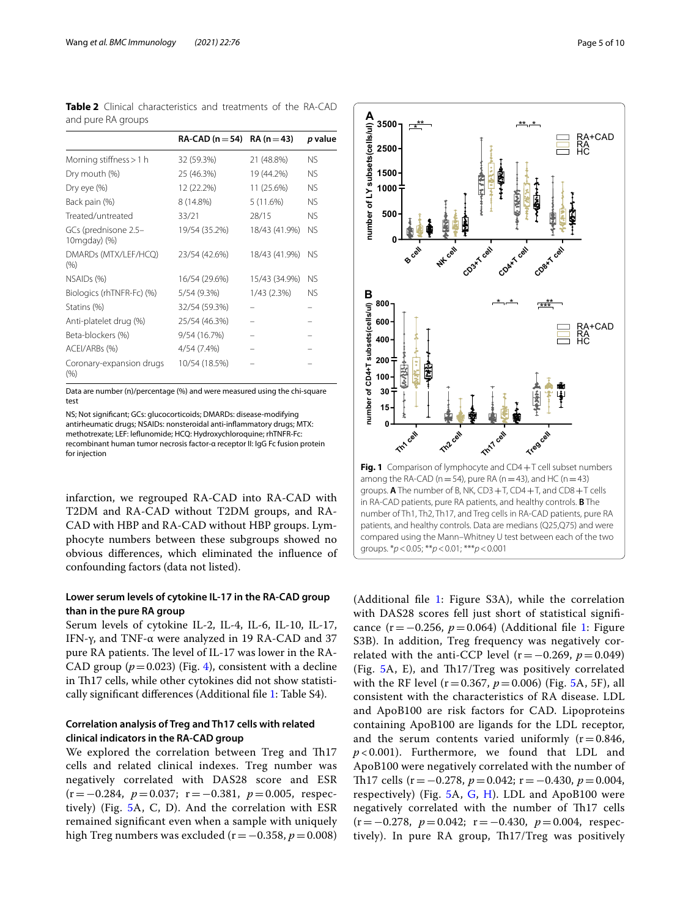<span id="page-4-0"></span>

|                    | <b>Table 2</b> Clinical characteristics and treatments of the RA-CAD |  |  |  |
|--------------------|----------------------------------------------------------------------|--|--|--|
| and pure RA groups |                                                                      |  |  |  |

|                                      | RA-CAD ( $n = 54$ ) RA ( $n = 43$ ) |               | p value   |
|--------------------------------------|-------------------------------------|---------------|-----------|
|                                      |                                     |               |           |
| Morning stiffness > 1 h              | 32 (59.3%)                          | 21 (48.8%)    | <b>NS</b> |
| Dry mouth (%)                        | 25 (46.3%)                          | 19 (44.2%)    | <b>NS</b> |
| Dry eye (%)                          | 12 (22.2%)                          | 11 (25.6%)    | <b>NS</b> |
| Back pain (%)                        | 8 (14.8%)                           | 5(11.6%)      | <b>NS</b> |
| Treated/untreated                    | 33/21                               | 28/15         | <b>NS</b> |
| GCs (prednisone 2.5-<br>10mgday) (%) | 19/54 (35.2%)                       | 18/43 (41.9%) | <b>NS</b> |
| DMARDs (MTX/LEF/HCQ)<br>(% )         | 23/54 (42.6%)                       | 18/43 (41.9%) | <b>NS</b> |
| NSAID <sub>s</sub> (%)               | 16/54 (29.6%)                       | 15/43 (34.9%) | <b>NS</b> |
| Biologics (rhTNFR-Fc) (%)            | 5/54 (9.3%)                         | 1/43 (2.3%)   | <b>NS</b> |
| Statins (%)                          | 32/54 (59.3%)                       |               |           |
| Anti-platelet drug (%)               | 25/54 (46.3%)                       |               |           |
| Beta-blockers (%)                    | 9/54 (16.7%)                        |               |           |
| ACEI/ARBs (%)                        | 4/54 (7.4%)                         |               |           |
| Coronary-expansion drugs<br>(% )     | 10/54 (18.5%)                       |               |           |

Data are number (n)/percentage (%) and were measured using the chi-square test

NS; Not signifcant; GCs: glucocorticoids; DMARDs: disease-modifying antirheumatic drugs; NSAIDs: nonsteroidal anti-infammatory drugs; MTX: methotrexate; LEF: lefunomide; HCQ: Hydroxychloroquine; rhTNFR-Fc: recombinant human tumor necrosis factor-α receptor II: IgG Fc fusion protein for injection

infarction, we regrouped RA-CAD into RA-CAD with T2DM and RA-CAD without T2DM groups, and RA-CAD with HBP and RA-CAD without HBP groups. Lymphocyte numbers between these subgroups showed no obvious diferences, which eliminated the infuence of confounding factors (data not listed).

## **Lower serum levels of cytokine IL‑17 in the RA‑CAD group than in the pure RA group**

Serum levels of cytokine IL-2, IL-4, IL-6, IL-10, IL-17, IFN-γ, and TNF-α were analyzed in 19 RA-CAD and 37 pure RA patients. The level of IL-17 was lower in the RA-CAD group  $(p=0.023)$  (Fig. [4](#page-6-1)), consistent with a decline in Th17 cells, while other cytokines did not show statistically signifcant diferences (Additional fle [1](#page-8-0): Table S4).

## **Correlation analysis of Treg and Th17 cells with related clinical indicators in the RA‑CAD group**

We explored the correlation between Treg and Th17 cells and related clinical indexes. Treg number was negatively correlated with DAS28 score and ESR (r=−0.284, *p*=0.037; r=−0.381, *p*=0.005, respectively) (Fig. [5A](#page-7-0), C, D). And the correlation with ESR remained signifcant even when a sample with uniquely high Treg numbers was excluded (r=−0.358, *p*=0.008)



<span id="page-4-1"></span>(Additional fle [1](#page-8-0): Figure S3A), while the correlation with DAS28 scores fell just short of statistical signifcance (r=−0.256, *p*=0.064) (Additional fle [1:](#page-8-0) Figure S3B). In addition, Treg frequency was negatively correlated with the anti-CCP level  $(r=-0.269, p=0.049)$ (Fig. [5A](#page-7-0), E), and Th17/Treg was positively correlated with the RF level ( $r=0.367$ ,  $p=0.006$ ) (Fig. [5A](#page-7-0), 5F), all consistent with the characteristics of RA disease. LDL and ApoB100 are risk factors for CAD. Lipoproteins containing ApoB100 are ligands for the LDL receptor, and the serum contents varied uniformly  $(r=0.846,$ *p* < 0.001). Furthermore, we found that LDL and ApoB100 were negatively correlated with the number of Th17 cells (r = −0.278, *p* = 0.042; r = −0.430, *p* = 0.004, respectively) (Fig.  $5A$  $5A$ , [G,](#page-7-0) [H](#page-7-0)). LDL and ApoB100 were negatively correlated with the number of Th17 cells (r=−0.278, *p*=0.042; r=−0.430, *p*=0.004, respectively). In pure RA group, Th17/Treg was positively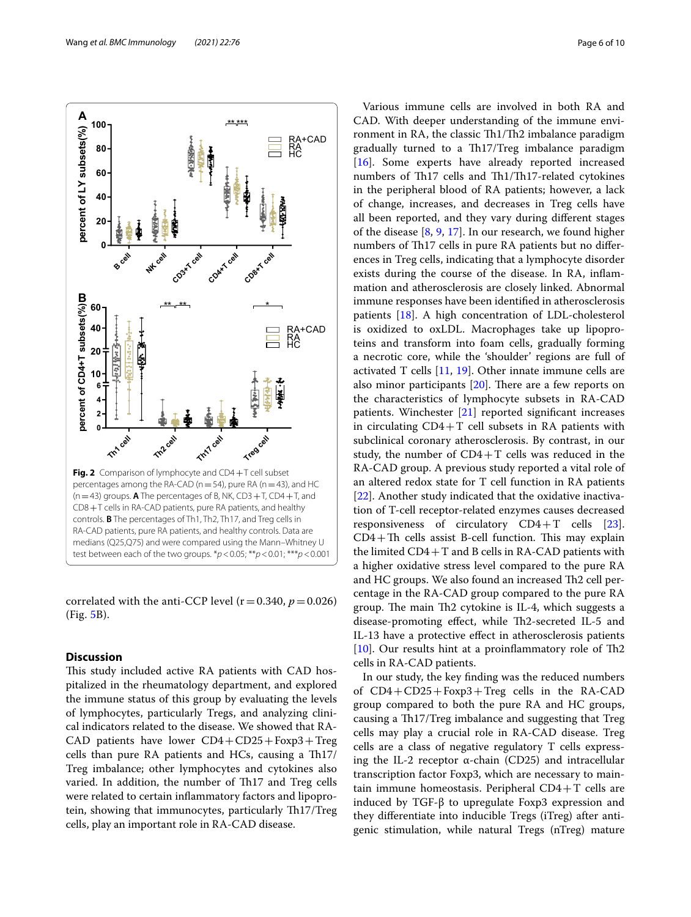

<span id="page-5-0"></span>correlated with the anti-CCP level  $(r=0.340, p=0.026)$ (Fig. [5B](#page-7-0)).

## **Discussion**

This study included active RA patients with CAD hospitalized in the rheumatology department, and explored the immune status of this group by evaluating the levels of lymphocytes, particularly Tregs, and analyzing clinical indicators related to the disease. We showed that RA-CAD patients have lower  $CD4 + CD25 + Foxp3 + Treg$ cells than pure  $RA$  patients and  $HCs$ , causing a  $Th17/$ Treg imbalance; other lymphocytes and cytokines also varied. In addition, the number of Th17 and Treg cells were related to certain infammatory factors and lipoprotein, showing that immunocytes, particularly Th17/Treg cells, play an important role in RA-CAD disease.

Various immune cells are involved in both RA and CAD. With deeper understanding of the immune environment in RA, the classic Th1/Th2 imbalance paradigm gradually turned to a Th17/Treg imbalance paradigm [[16\]](#page-9-14). Some experts have already reported increased numbers of Th17 cells and Th1/Th17-related cytokines in the peripheral blood of RA patients; however, a lack of change, increases, and decreases in Treg cells have all been reported, and they vary during diferent stages of the disease [\[8](#page-9-15), [9,](#page-9-7) [17\]](#page-9-16). In our research, we found higher numbers of Th17 cells in pure RA patients but no differences in Treg cells, indicating that a lymphocyte disorder exists during the course of the disease. In RA, infammation and atherosclerosis are closely linked. Abnormal immune responses have been identifed in atherosclerosis patients [[18\]](#page-9-17). A high concentration of LDL-cholesterol is oxidized to oxLDL. Macrophages take up lipoproteins and transform into foam cells, gradually forming a necrotic core, while the 'shoulder' regions are full of activated T cells  $[11, 19]$  $[11, 19]$  $[11, 19]$  $[11, 19]$ . Other innate immune cells are also minor participants  $[20]$ . There are a few reports on the characteristics of lymphocyte subsets in RA-CAD patients. Winchester [\[21\]](#page-9-20) reported signifcant increases in circulating  $CD4+T$  cell subsets in RA patients with subclinical coronary atherosclerosis. By contrast, in our study, the number of  $CD4+T$  cells was reduced in the RA-CAD group. A previous study reported a vital role of an altered redox state for T cell function in RA patients [[22\]](#page-9-21). Another study indicated that the oxidative inactivation of T-cell receptor-related enzymes causes decreased responsiveness of circulatory CD4+T cells [\[23](#page-9-22)].  $CD4+Th$  cells assist B-cell function. This may explain the limited  $CD4+T$  and B cells in RA-CAD patients with a higher oxidative stress level compared to the pure RA and HC groups. We also found an increased Th2 cell percentage in the RA-CAD group compared to the pure RA group. The main Th2 cytokine is IL-4, which suggests a disease-promoting effect, while Th2-secreted IL-5 and IL-13 have a protective efect in atherosclerosis patients [ $10$ ]. Our results hint at a proinflammatory role of Th2 cells in RA-CAD patients.

In our study, the key fnding was the reduced numbers of CD4+CD25+Foxp3+Treg cells in the RA-CAD group compared to both the pure RA and HC groups, causing a Th17/Treg imbalance and suggesting that Treg cells may play a crucial role in RA-CAD disease. Treg cells are a class of negative regulatory T cells expressing the IL-2 receptor α-chain (CD25) and intracellular transcription factor Foxp3, which are necessary to maintain immune homeostasis. Peripheral  $CD4+T$  cells are induced by TGF-β to upregulate Foxp3 expression and they diferentiate into inducible Tregs (iTreg) after antigenic stimulation, while natural Tregs (nTreg) mature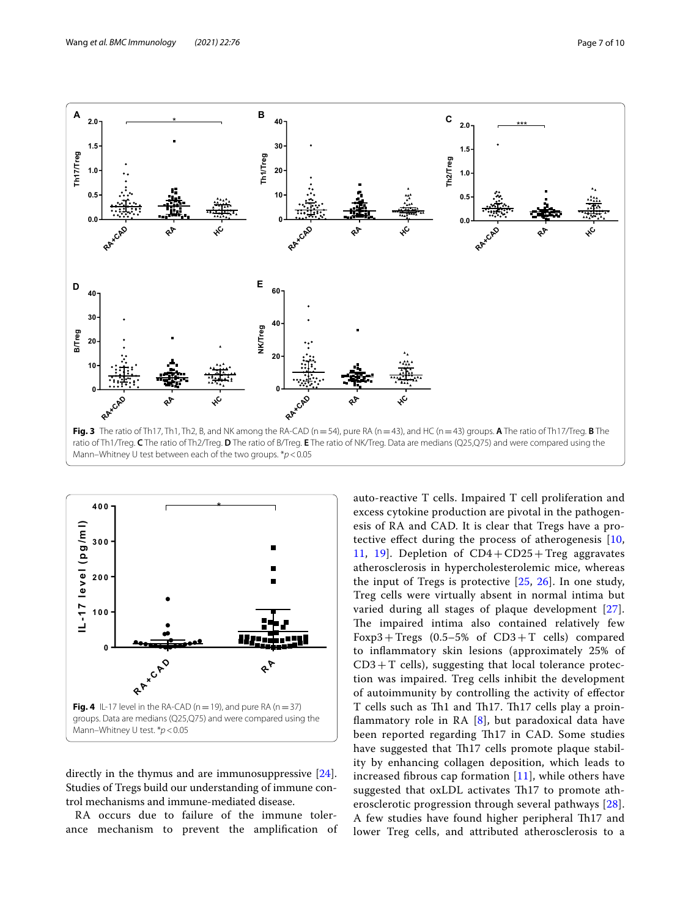

<span id="page-6-0"></span>![](_page_6_Figure_3.jpeg)

<span id="page-6-1"></span>directly in the thymus and are immunosuppressive [\[24](#page-9-23)]. Studies of Tregs build our understanding of immune control mechanisms and immune-mediated disease.

RA occurs due to failure of the immune tolerance mechanism to prevent the amplifcation of auto-reactive T cells. Impaired T cell proliferation and excess cytokine production are pivotal in the pathogenesis of RA and CAD. It is clear that Tregs have a protective efect during the process of atherogenesis [\[10](#page-9-8), [11,](#page-9-9) [19\]](#page-9-18). Depletion of CD4+CD25+Treg aggravates atherosclerosis in hypercholesterolemic mice, whereas the input of Tregs is protective  $[25, 26]$  $[25, 26]$  $[25, 26]$  $[25, 26]$  $[25, 26]$ . In one study, Treg cells were virtually absent in normal intima but varied during all stages of plaque development [[27\]](#page-9-26). The impaired intima also contained relatively few Foxp3 + Tregs  $(0.5-5\% \text{ of } CD3+\text{T} \text{ cells})$  compared to infammatory skin lesions (approximately 25% of  $CD3+T$  cells), suggesting that local tolerance protection was impaired. Treg cells inhibit the development of autoimmunity by controlling the activity of efector T cells such as Th1 and Th17. Th17 cells play a proinflammatory role in RA  $[8]$  $[8]$ , but paradoxical data have been reported regarding Th17 in CAD. Some studies have suggested that Th<sub>17</sub> cells promote plaque stability by enhancing collagen deposition, which leads to increased fibrous cap formation  $[11]$  $[11]$ , while others have suggested that oxLDL activates Th17 to promote atherosclerotic progression through several pathways [[28](#page-9-27)]. A few studies have found higher peripheral Th17 and lower Treg cells, and attributed atherosclerosis to a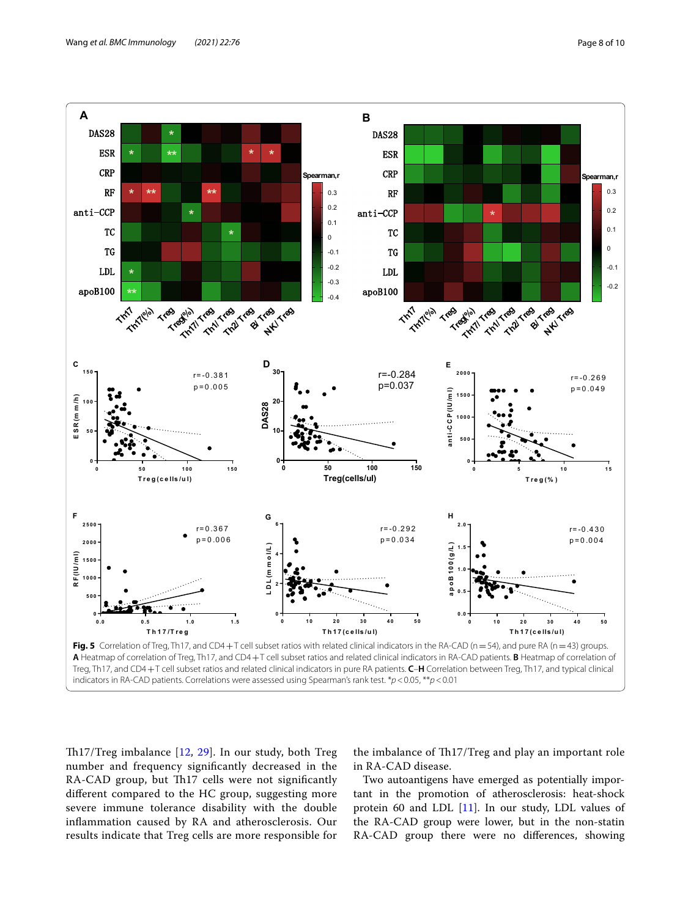![](_page_7_Figure_2.jpeg)

<span id="page-7-0"></span>Th17/Treg imbalance [\[12](#page-9-10), [29](#page-9-28)]. In our study, both Treg number and frequency signifcantly decreased in the RA-CAD group, but Th17 cells were not significantly diferent compared to the HC group, suggesting more severe immune tolerance disability with the double infammation caused by RA and atherosclerosis. Our results indicate that Treg cells are more responsible for

the imbalance of Th17/Treg and play an important role in RA-CAD disease.

Two autoantigens have emerged as potentially important in the promotion of atherosclerosis: heat-shock protein 60 and LDL [[11](#page-9-9)]. In our study, LDL values of the RA-CAD group were lower, but in the non-statin RA-CAD group there were no diferences, showing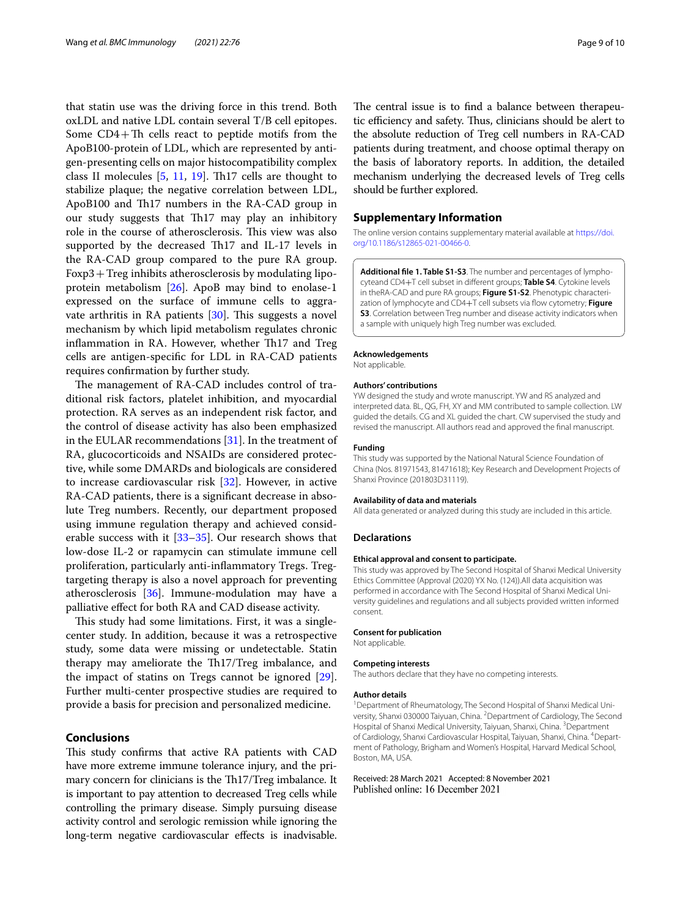that statin use was the driving force in this trend. Both oxLDL and native LDL contain several T/B cell epitopes. Some  $CD4+Th$  cells react to peptide motifs from the ApoB100-protein of LDL, which are represented by antigen-presenting cells on major histocompatibility complex class II molecules  $[5, 11, 19]$  $[5, 11, 19]$  $[5, 11, 19]$  $[5, 11, 19]$  $[5, 11, 19]$ . Th17 cells are thought to stabilize plaque; the negative correlation between LDL, ApoB100 and Th17 numbers in the RA-CAD group in our study suggests that Th17 may play an inhibitory role in the course of atherosclerosis. This view was also supported by the decreased Th17 and IL-17 levels in the RA-CAD group compared to the pure RA group. Foxp3+Treg inhibits atherosclerosis by modulating lipoprotein metabolism [[26\]](#page-9-25). ApoB may bind to enolase-1 expressed on the surface of immune cells to aggra-vate arthritis in RA patients [\[30](#page-9-29)]. This suggests a novel mechanism by which lipid metabolism regulates chronic inflammation in RA. However, whether Th17 and Treg cells are antigen-specifc for LDL in RA-CAD patients requires confrmation by further study.

The management of RA-CAD includes control of traditional risk factors, platelet inhibition, and myocardial protection. RA serves as an independent risk factor, and the control of disease activity has also been emphasized in the EULAR recommendations [[31\]](#page-9-30). In the treatment of RA, glucocorticoids and NSAIDs are considered protective, while some DMARDs and biologicals are considered to increase cardiovascular risk [[32\]](#page-9-31). However, in active RA-CAD patients, there is a signifcant decrease in absolute Treg numbers. Recently, our department proposed using immune regulation therapy and achieved considerable success with it [[33–](#page-9-32)[35](#page-9-33)]. Our research shows that low-dose IL-2 or rapamycin can stimulate immune cell proliferation, particularly anti-infammatory Tregs. Tregtargeting therapy is also a novel approach for preventing atherosclerosis [\[36](#page-9-34)]. Immune-modulation may have a palliative efect for both RA and CAD disease activity.

This study had some limitations. First, it was a singlecenter study. In addition, because it was a retrospective study, some data were missing or undetectable. Statin therapy may ameliorate the Th17/Treg imbalance, and the impact of statins on Tregs cannot be ignored [\[29](#page-9-28)]. Further multi-center prospective studies are required to provide a basis for precision and personalized medicine.

## **Conclusions**

This study confirms that active RA patients with CAD have more extreme immune tolerance injury, and the primary concern for clinicians is the Th17/Treg imbalance. It is important to pay attention to decreased Treg cells while controlling the primary disease. Simply pursuing disease activity control and serologic remission while ignoring the long-term negative cardiovascular efects is inadvisable. The central issue is to find a balance between therapeutic efficiency and safety. Thus, clinicians should be alert to the absolute reduction of Treg cell numbers in RA-CAD patients during treatment, and choose optimal therapy on the basis of laboratory reports. In addition, the detailed mechanism underlying the decreased levels of Treg cells should be further explored.

#### **Supplementary Information**

The online version contains supplementary material available at [https://doi.](https://doi.org/10.1186/s12865-021-00466-0) [org/10.1186/s12865-021-00466-0](https://doi.org/10.1186/s12865-021-00466-0).

<span id="page-8-0"></span>**Additional fle 1. Table S1-S3**. The number and percentages of lymphocyteand CD4+T cell subset in diferent groups; **Table S4**. Cytokine levels in theRA-CAD and pure RA groups; **Figure S1-S2**. Phenotypic characterization of lymphocyte and CD4+T cell subsets via fow cytometry; **Figure S3**. Correlation between Treg number and disease activity indicators when a sample with uniquely high Treg number was excluded.

#### **Acknowledgements**

Not applicable.

#### **Authors' contributions**

YW designed the study and wrote manuscript. YW and RS analyzed and interpreted data. BL, QG, FH, XY and MM contributed to sample collection. LW guided the details. CG and XL guided the chart. CW supervised the study and revised the manuscript. All authors read and approved the fnal manuscript.

#### **Funding**

This study was supported by the National Natural Science Foundation of China (Nos. 81971543, 81471618); Key Research and Development Projects of Shanxi Province (201803D31119).

#### **Availability of data and materials**

All data generated or analyzed during this study are included in this article.

#### **Declarations**

#### **Ethical approval and consent to participate.**

This study was approved by The Second Hospital of Shanxi Medical University Ethics Committee (Approval (2020) YX No. (124)).All data acquisition was performed in accordance with The Second Hospital of Shanxi Medical University guidelines and regulations and all subjects provided written informed consent.

#### **Consent for publication**

Not applicable.

#### **Competing interests**

The authors declare that they have no competing interests.

#### **Author details**

<sup>1</sup> Department of Rheumatology, The Second Hospital of Shanxi Medical University, Shanxi 030000 Taiyuan, China. <sup>2</sup> Department of Cardiology, The Second Hospital of Shanxi Medical University, Taiyuan, Shanxi, China. <sup>3</sup>Department of Cardiology, Shanxi Cardiovascular Hospital, Taiyuan, Shanxi, China. <sup>4</sup>Department of Pathology, Brigham and Women's Hospital, Harvard Medical School, Boston, MA, USA.

Received: 28 March 2021 Accepted: 8 November 2021